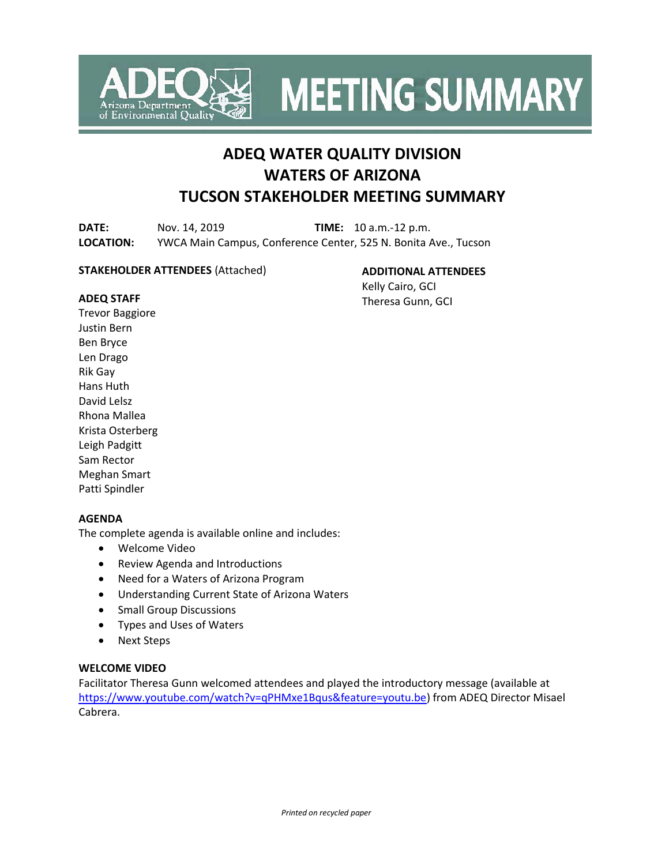

**MEETING SUMMARY** 

# **ADEQ WATER QUALITY DIVISION WATERS OF ARIZONA TUCSON STAKEHOLDER MEETING SUMMARY**

**DATE:** Nov. 14, 2019 **TIME:** 10 a.m.-12 p.m. **LOCATION:** YWCA Main Campus, Conference Center, 525 N. Bonita Ave., Tucson

#### **STAKEHOLDER ATTENDEES** (Attached)

**ADDITIONAL ATTENDEES**

Kelly Cairo, GCI Theresa Gunn, GCI

# **ADEQ STAFF**

Trevor Baggiore Justin Bern Ben Bryce Len Drago Rik Gay Hans Huth David Lelsz Rhona Mallea Krista Osterberg Leigh Padgitt Sam Rector Meghan Smart Patti Spindler

### **AGENDA**

The complete agenda is available online and includes:

- Welcome Video
- Review Agenda and Introductions
- Need for a Waters of Arizona Program
- Understanding Current State of Arizona Waters
- Small Group Discussions
- Types and Uses of Waters
- Next Steps

### **WELCOME VIDEO**

Facilitator Theresa Gunn welcomed attendees and played the introductory message (available at [https://www.youtube.com/watch?v=qPHMxe1Bqus&feature=youtu.be\)](https://www.youtube.com/watch?v=qPHMxe1Bqus&feature=youtu.be) from ADEQ Director Misael Cabrera.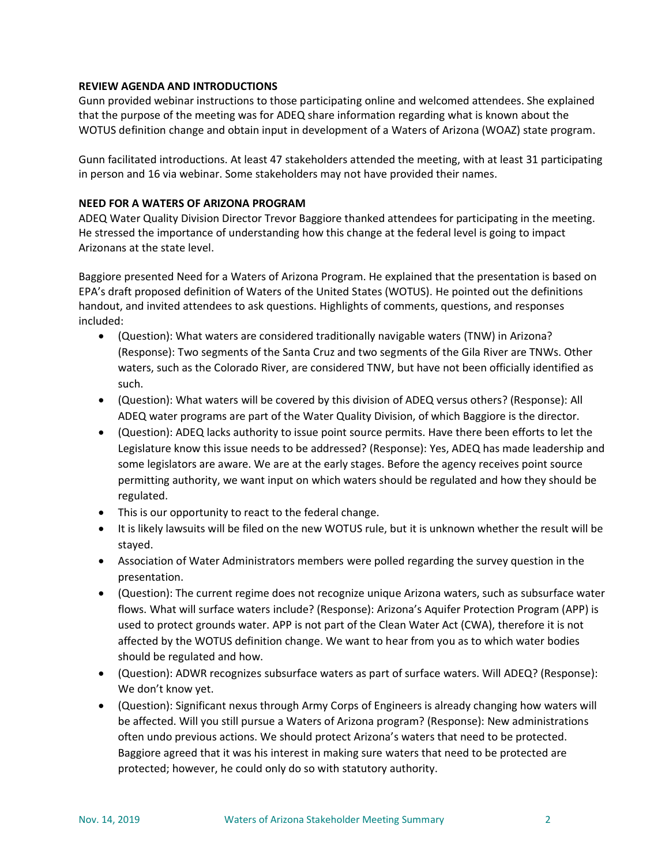#### **REVIEW AGENDA AND INTRODUCTIONS**

Gunn provided webinar instructions to those participating online and welcomed attendees. She explained that the purpose of the meeting was for ADEQ share information regarding what is known about the WOTUS definition change and obtain input in development of a Waters of Arizona (WOAZ) state program.

Gunn facilitated introductions. At least 47 stakeholders attended the meeting, with at least 31 participating in person and 16 via webinar. Some stakeholders may not have provided their names.

### **NEED FOR A WATERS OF ARIZONA PROGRAM**

ADEQ Water Quality Division Director Trevor Baggiore thanked attendees for participating in the meeting. He stressed the importance of understanding how this change at the federal level is going to impact Arizonans at the state level.

Baggiore presented Need for a Waters of Arizona Program. He explained that the presentation is based on EPA's draft proposed definition of Waters of the United States (WOTUS). He pointed out the definitions handout, and invited attendees to ask questions. Highlights of comments, questions, and responses included:

- (Question): What waters are considered traditionally navigable waters (TNW) in Arizona? (Response): Two segments of the Santa Cruz and two segments of the Gila River are TNWs. Other waters, such as the Colorado River, are considered TNW, but have not been officially identified as such.
- (Question): What waters will be covered by this division of ADEQ versus others? (Response): All ADEQ water programs are part of the Water Quality Division, of which Baggiore is the director.
- (Question): ADEQ lacks authority to issue point source permits. Have there been efforts to let the Legislature know this issue needs to be addressed? (Response): Yes, ADEQ has made leadership and some legislators are aware. We are at the early stages. Before the agency receives point source permitting authority, we want input on which waters should be regulated and how they should be regulated.
- This is our opportunity to react to the federal change.
- It is likely lawsuits will be filed on the new WOTUS rule, but it is unknown whether the result will be stayed.
- Association of Water Administrators members were polled regarding the survey question in the presentation.
- (Question): The current regime does not recognize unique Arizona waters, such as subsurface water flows. What will surface waters include? (Response): Arizona's Aquifer Protection Program (APP) is used to protect grounds water. APP is not part of the Clean Water Act (CWA), therefore it is not affected by the WOTUS definition change. We want to hear from you as to which water bodies should be regulated and how.
- (Question): ADWR recognizes subsurface waters as part of surface waters. Will ADEQ? (Response): We don't know yet.
- (Question): Significant nexus through Army Corps of Engineers is already changing how waters will be affected. Will you still pursue a Waters of Arizona program? (Response): New administrations often undo previous actions. We should protect Arizona's waters that need to be protected. Baggiore agreed that it was his interest in making sure waters that need to be protected are protected; however, he could only do so with statutory authority.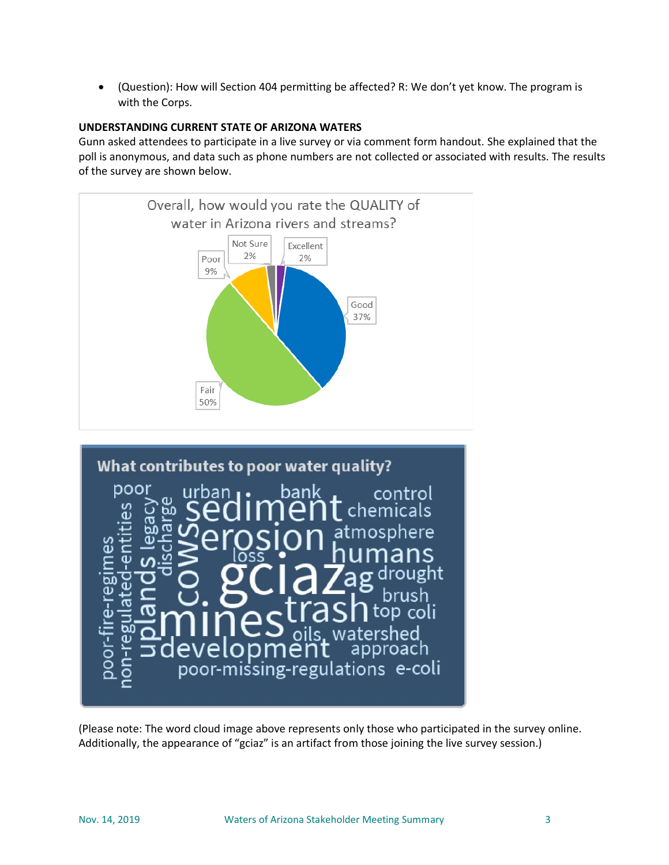• (Question): How will Section 404 permitting be affected? R: We don't yet know. The program is with the Corps.

# **UNDERSTANDING CURRENT STATE OF ARIZONA WATERS**

Gunn asked attendees to participate in a live survey or via comment form handout. She explained that the poll is anonymous, and data such as phone numbers are not collected or associated with results. The results of the survey are shown below.





(Please note: The word cloud image above represents only those who participated in the survey online. Additionally, the appearance of "gciaz" is an artifact from those joining the live survey session.)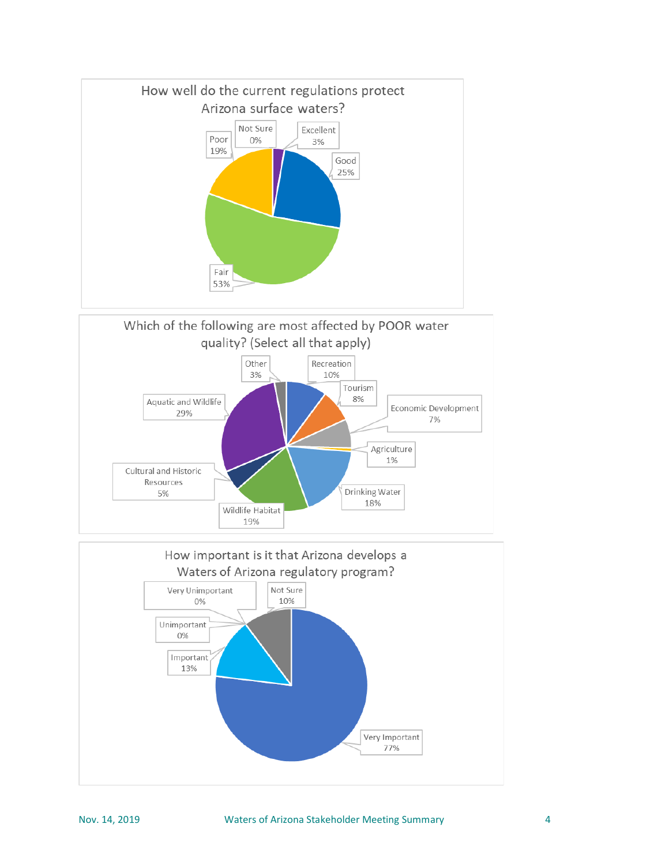



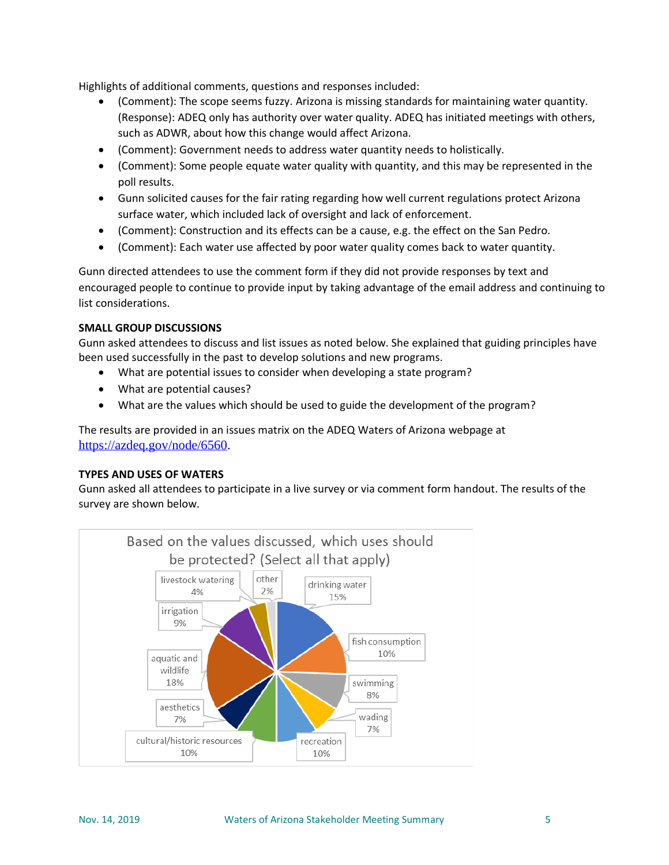Highlights of additional comments, questions and responses included:

- (Comment): The scope seems fuzzy. Arizona is missing standards for maintaining water quantity. (Response): ADEQ only has authority over water quality. ADEQ has initiated meetings with others, such as ADWR, about how this change would affect Arizona.
- (Comment): Government needs to address water quantity needs to holistically.
- (Comment): Some people equate water quality with quantity, and this may be represented in the poll results.
- Gunn solicited causes for the fair rating regarding how well current regulations protect Arizona surface water, which included lack of oversight and lack of enforcement.
- (Comment): Construction and its effects can be a cause, e.g. the effect on the San Pedro.
- (Comment): Each water use affected by poor water quality comes back to water quantity.

Gunn directed attendees to use the comment form if they did not provide responses by text and encouraged people to continue to provide input by taking advantage of the email address and continuing to list considerations.

### **SMALL GROUP DISCUSSIONS**

Gunn asked attendees to discuss and list issues as noted below. She explained that guiding principles have been used successfully in the past to develop solutions and new programs.

- What are potential issues to consider when developing a state program?
- What are potential causes?
- What are the values which should be used to guide the development of the program?

The results are provided in an issues matrix on the ADEQ Waters of Arizona webpage at [https://azdeq.gov/node/6560.](https://azdeq.gov/node/6560)

### **TYPES AND USES OF WATERS**

Gunn asked all attendees to participate in a live survey or via comment form handout. The results of the survey are shown below.

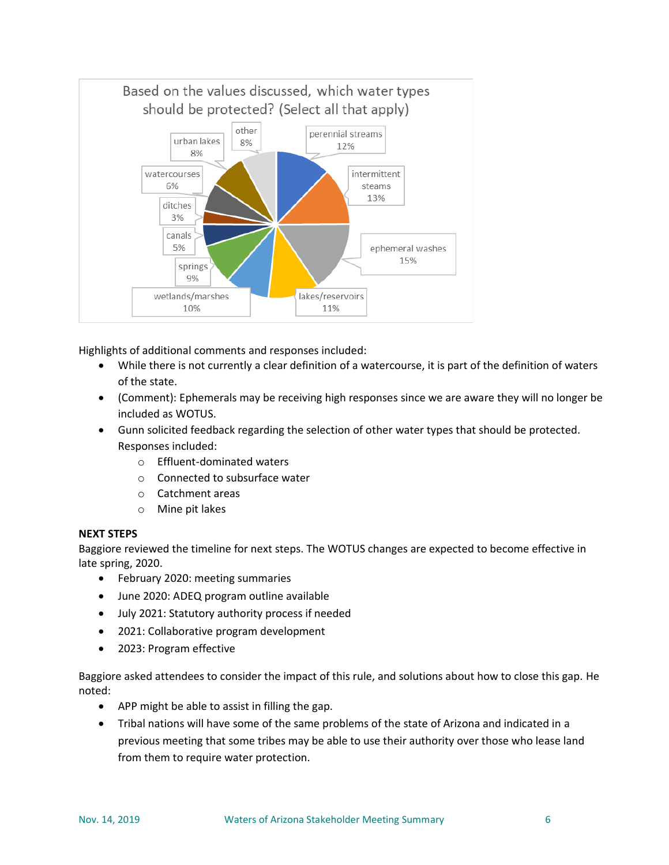

Highlights of additional comments and responses included:

- While there is not currently a clear definition of a watercourse, it is part of the definition of waters of the state.
- (Comment): Ephemerals may be receiving high responses since we are aware they will no longer be included as WOTUS.
- Gunn solicited feedback regarding the selection of other water types that should be protected. Responses included:
	- o Effluent-dominated waters
	- o Connected to subsurface water
	- o Catchment areas
	- o Mine pit lakes

### **NEXT STEPS**

Baggiore reviewed the timeline for next steps. The WOTUS changes are expected to become effective in late spring, 2020.

- February 2020: meeting summaries
- June 2020: ADEQ program outline available
- July 2021: Statutory authority process if needed
- 2021: Collaborative program development
- 2023: Program effective

Baggiore asked attendees to consider the impact of this rule, and solutions about how to close this gap. He noted:

- APP might be able to assist in filling the gap.
- Tribal nations will have some of the same problems of the state of Arizona and indicated in a previous meeting that some tribes may be able to use their authority over those who lease land from them to require water protection.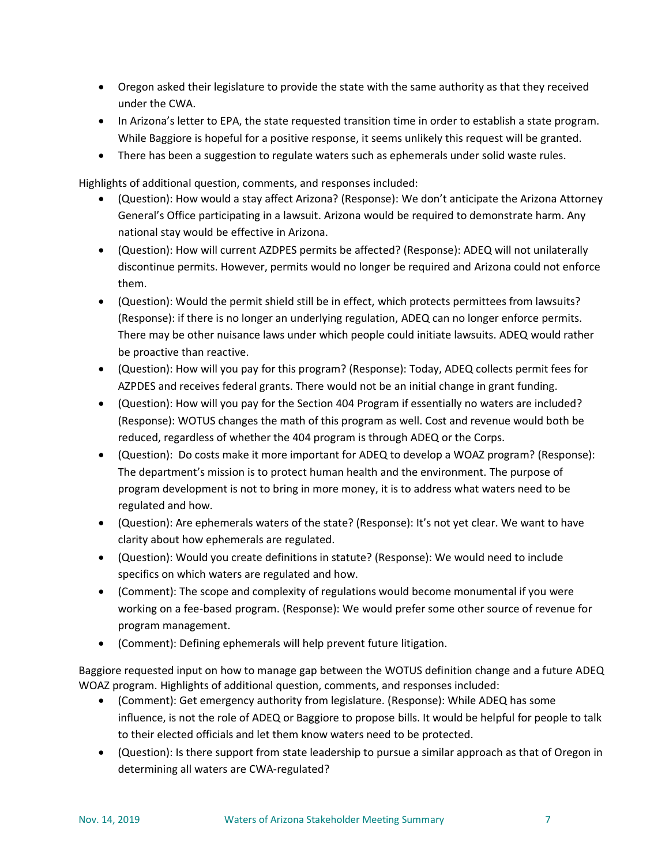- Oregon asked their legislature to provide the state with the same authority as that they received under the CWA.
- In Arizona's letter to EPA, the state requested transition time in order to establish a state program. While Baggiore is hopeful for a positive response, it seems unlikely this request will be granted.
- There has been a suggestion to regulate waters such as ephemerals under solid waste rules.

Highlights of additional question, comments, and responses included:

- (Question): How would a stay affect Arizona? (Response): We don't anticipate the Arizona Attorney General's Office participating in a lawsuit. Arizona would be required to demonstrate harm. Any national stay would be effective in Arizona.
- (Question): How will current AZDPES permits be affected? (Response): ADEQ will not unilaterally discontinue permits. However, permits would no longer be required and Arizona could not enforce them.
- (Question): Would the permit shield still be in effect, which protects permittees from lawsuits? (Response): if there is no longer an underlying regulation, ADEQ can no longer enforce permits. There may be other nuisance laws under which people could initiate lawsuits. ADEQ would rather be proactive than reactive.
- (Question): How will you pay for this program? (Response): Today, ADEQ collects permit fees for AZPDES and receives federal grants. There would not be an initial change in grant funding.
- (Question): How will you pay for the Section 404 Program if essentially no waters are included? (Response): WOTUS changes the math of this program as well. Cost and revenue would both be reduced, regardless of whether the 404 program is through ADEQ or the Corps.
- (Question): Do costs make it more important for ADEQ to develop a WOAZ program? (Response): The department's mission is to protect human health and the environment. The purpose of program development is not to bring in more money, it is to address what waters need to be regulated and how.
- (Question): Are ephemerals waters of the state? (Response): It's not yet clear. We want to have clarity about how ephemerals are regulated.
- (Question): Would you create definitions in statute? (Response): We would need to include specifics on which waters are regulated and how.
- (Comment): The scope and complexity of regulations would become monumental if you were working on a fee-based program. (Response): We would prefer some other source of revenue for program management.
- (Comment): Defining ephemerals will help prevent future litigation.

Baggiore requested input on how to manage gap between the WOTUS definition change and a future ADEQ WOAZ program. Highlights of additional question, comments, and responses included:

- (Comment): Get emergency authority from legislature. (Response): While ADEQ has some influence, is not the role of ADEQ or Baggiore to propose bills. It would be helpful for people to talk to their elected officials and let them know waters need to be protected.
- (Question): Is there support from state leadership to pursue a similar approach as that of Oregon in determining all waters are CWA-regulated?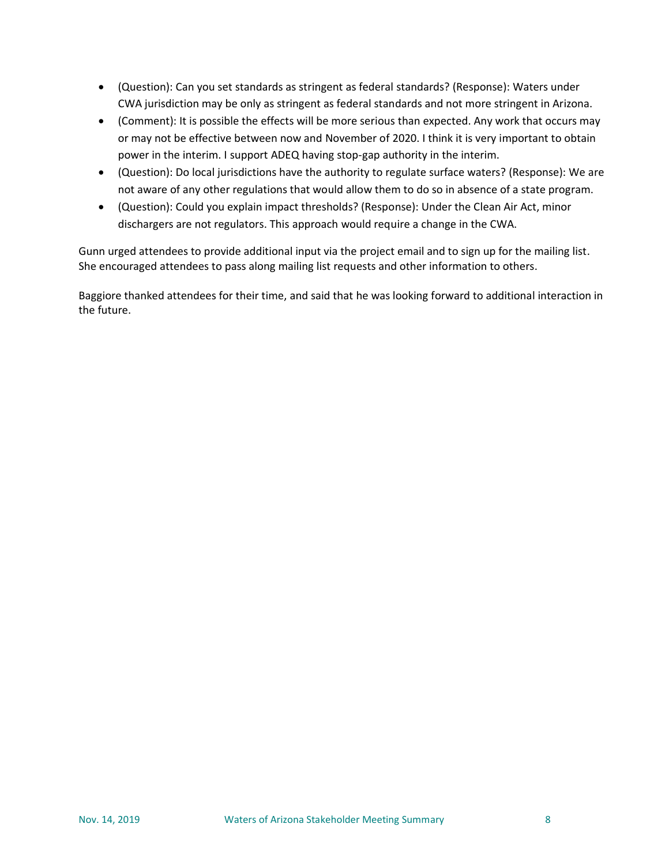- (Question): Can you set standards as stringent as federal standards? (Response): Waters under CWA jurisdiction may be only as stringent as federal standards and not more stringent in Arizona.
- (Comment): It is possible the effects will be more serious than expected. Any work that occurs may or may not be effective between now and November of 2020. I think it is very important to obtain power in the interim. I support ADEQ having stop-gap authority in the interim.
- (Question): Do local jurisdictions have the authority to regulate surface waters? (Response): We are not aware of any other regulations that would allow them to do so in absence of a state program.
- (Question): Could you explain impact thresholds? (Response): Under the Clean Air Act, minor dischargers are not regulators. This approach would require a change in the CWA.

Gunn urged attendees to provide additional input via the project email and to sign up for the mailing list. She encouraged attendees to pass along mailing list requests and other information to others.

Baggiore thanked attendees for their time, and said that he was looking forward to additional interaction in the future.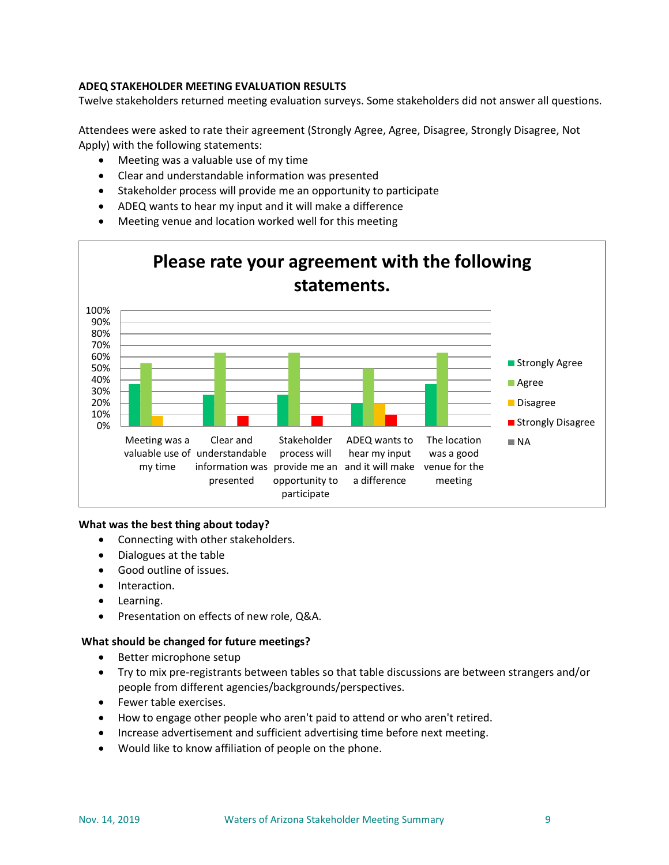# **ADEQ STAKEHOLDER MEETING EVALUATION RESULTS**

Twelve stakeholders returned meeting evaluation surveys. Some stakeholders did not answer all questions.

Attendees were asked to rate their agreement (Strongly Agree, Agree, Disagree, Strongly Disagree, Not Apply) with the following statements:

- Meeting was a valuable use of my time
- Clear and understandable information was presented
- Stakeholder process will provide me an opportunity to participate
- ADEQ wants to hear my input and it will make a difference
- Meeting venue and location worked well for this meeting



#### **What was the best thing about today?**

- Connecting with other stakeholders.
- Dialogues at the table
- Good outline of issues.
- Interaction.
- Learning.
- Presentation on effects of new role, Q&A.

#### **What should be changed for future meetings?**

- Better microphone setup
- Try to mix pre-registrants between tables so that table discussions are between strangers and/or people from different agencies/backgrounds/perspectives.
- Fewer table exercises.
- How to engage other people who aren't paid to attend or who aren't retired.
- Increase advertisement and sufficient advertising time before next meeting.
- Would like to know affiliation of people on the phone.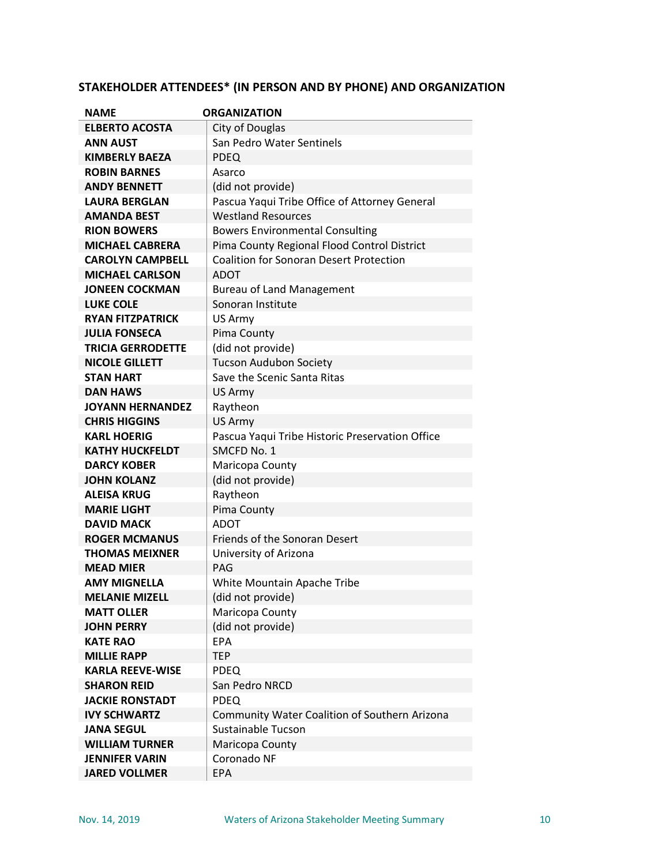| <b>NAME</b>              | <b>ORGANIZATION</b>                             |
|--------------------------|-------------------------------------------------|
| <b>ELBERTO ACOSTA</b>    | City of Douglas                                 |
| <b>ANN AUST</b>          | San Pedro Water Sentinels                       |
| <b>KIMBERLY BAEZA</b>    | <b>PDEQ</b>                                     |
| <b>ROBIN BARNES</b>      | Asarco                                          |
| <b>ANDY BENNETT</b>      | (did not provide)                               |
| <b>LAURA BERGLAN</b>     | Pascua Yaqui Tribe Office of Attorney General   |
| <b>AMANDA BEST</b>       | <b>Westland Resources</b>                       |
| <b>RION BOWERS</b>       | <b>Bowers Environmental Consulting</b>          |
| <b>MICHAEL CABRERA</b>   | Pima County Regional Flood Control District     |
| <b>CAROLYN CAMPBELL</b>  | <b>Coalition for Sonoran Desert Protection</b>  |
| <b>MICHAEL CARLSON</b>   | <b>ADOT</b>                                     |
| <b>JONEEN COCKMAN</b>    | <b>Bureau of Land Management</b>                |
| <b>LUKE COLE</b>         | Sonoran Institute                               |
| <b>RYAN FITZPATRICK</b>  | US Army                                         |
| <b>JULIA FONSECA</b>     | Pima County                                     |
| <b>TRICIA GERRODETTE</b> | (did not provide)                               |
| <b>NICOLE GILLETT</b>    | <b>Tucson Audubon Society</b>                   |
| <b>STAN HART</b>         | Save the Scenic Santa Ritas                     |
| <b>DAN HAWS</b>          | US Army                                         |
| <b>JOYANN HERNANDEZ</b>  | Raytheon                                        |
| <b>CHRIS HIGGINS</b>     | US Army                                         |
| <b>KARL HOERIG</b>       | Pascua Yaqui Tribe Historic Preservation Office |
| <b>KATHY HUCKFELDT</b>   | SMCFD No. 1                                     |
| <b>DARCY KOBER</b>       | Maricopa County                                 |
| <b>JOHN KOLANZ</b>       | (did not provide)                               |
| <b>ALEISA KRUG</b>       | Raytheon                                        |
| <b>MARIE LIGHT</b>       | Pima County                                     |
| <b>DAVID MACK</b>        | ADOT                                            |
| <b>ROGER MCMANUS</b>     | Friends of the Sonoran Desert                   |
| <b>THOMAS MEIXNER</b>    | University of Arizona                           |
| <b>MEAD MIER</b>         | PAG                                             |
| <b>AMY MIGNELLA</b>      | White Mountain Apache Tribe                     |
| <b>MELANIE MIZELL</b>    | (did not provide)                               |
| <b>MATT OLLER</b>        | Maricopa County                                 |
| <b>JOHN PERRY</b>        | (did not provide)                               |
| <b>KATE RAO</b>          | <b>EPA</b>                                      |
| <b>MILLIE RAPP</b>       | <b>TEP</b>                                      |
| <b>KARLA REEVE-WISE</b>  | <b>PDEQ</b>                                     |
| <b>SHARON REID</b>       | San Pedro NRCD                                  |
| <b>JACKIE RONSTADT</b>   | <b>PDEQ</b>                                     |
| <b>IVY SCHWARTZ</b>      | Community Water Coalition of Southern Arizona   |
| <b>JANA SEGUL</b>        | Sustainable Tucson                              |
| <b>WILLIAM TURNER</b>    | Maricopa County                                 |
| <b>JENNIFER VARIN</b>    | Coronado NF                                     |
| <b>JARED VOLLMER</b>     | <b>EPA</b>                                      |

# **STAKEHOLDER ATTENDEES\* (IN PERSON AND BY PHONE) AND ORGANIZATION**